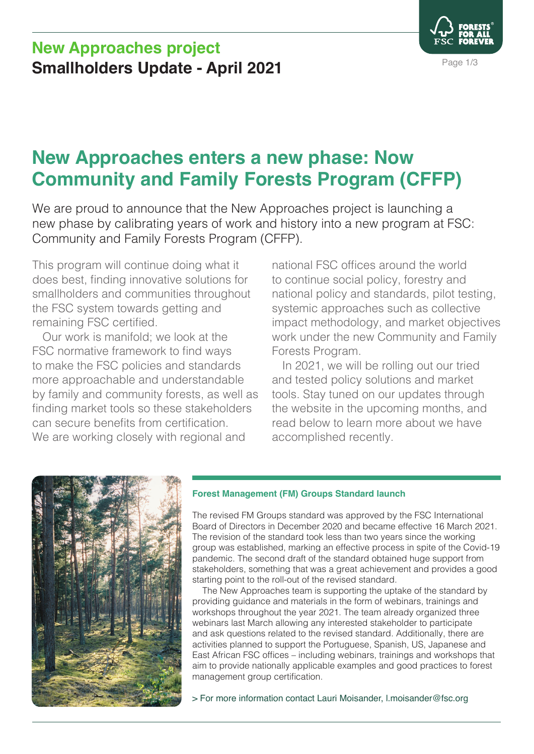# **New Approaches project Smallholders Update - April 2021** Page 1/3



# **New Approaches enters a new phase: Now Community and Family Forests Program (CFFP)**

We are proud to announce that the New Approaches project is launching a new phase by calibrating years of work and history into a new program at FSC: Community and Family Forests Program (CFFP).

This program will continue doing what it does best, finding innovative solutions for smallholders and communities throughout the FSC system towards getting and remaining FSC certified.

Our work is manifold; we look at the FSC normative framework to find ways to make the FSC policies and standards more approachable and understandable by family and community forests, as well as finding market tools so these stakeholders can secure benefits from certification. We are working closely with regional and

national FSC offices around the world to continue social policy, forestry and national policy and standards, pilot testing, systemic approaches such as collective impact methodology, and market objectives work under the new Community and Family Forests Program.

In 2021, we will be rolling out our tried and tested policy solutions and market tools. Stay tuned on our updates through the website in the upcoming months, and read below to learn more about we have accomplished recently.



### **Forest Management (FM) Groups Standard launch**

The revised FM Groups standard was approved by the FSC International Board of Directors in December 2020 and became effective 16 March 2021. The revision of the standard took less than two years since the working group was established, marking an effective process in spite of the Covid-19 pandemic. The second draft of the standard obtained huge support from stakeholders, something that was a great achievement and provides a good starting point to the roll-out of the revised standard.

The New Approaches team is supporting the uptake of the standard by providing guidance and materials in the form of webinars, trainings and workshops throughout the year 2021. The team already organized three webinars last March allowing any interested stakeholder to participate and ask questions related to the revised standard. Additionally, there are activities planned to support the Portuguese, Spanish, US, Japanese and East African FSC offices – including webinars, trainings and workshops that aim to provide nationally applicable examples and good practices to forest management group certification.

> For more information contact Lauri Moisander, l.moisander@fsc.org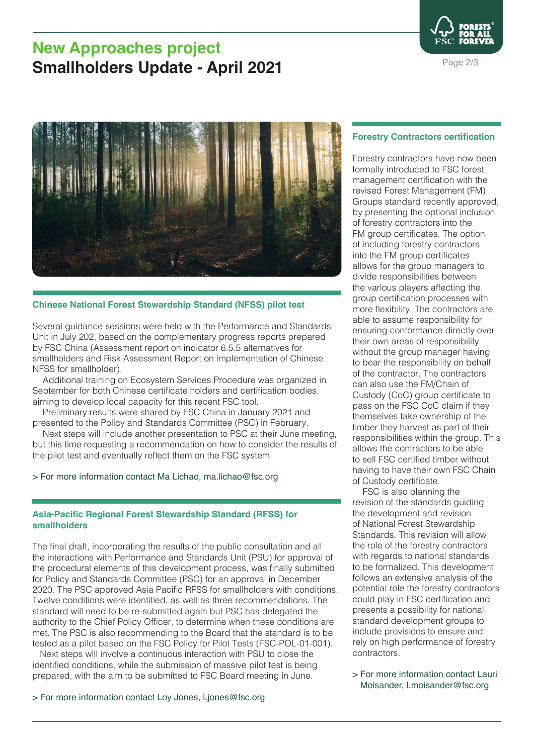## **New Approaches project Smallholders Update - April 2021**





#### **Chinese National Forest Stewardship Standard (NFSS) pilot test**

Several guidance sessions were held with the Performance and Standards Unit in July 202, based on the complementary progress reports prepared by FSC China (Assessment report on indicator 6.5.5 alternatives for smallholders and Risk Assessment Report on implementation of Chinese NFSS for smallholder).

Additional training on Ecosystem Services Procedure was organized in September for both Chinese certificate holders and certification bodies, aiming to develop local capacity for this recent FSC tool.

Preliminary results were shared by FSC China in January 2021 and presented to the Policy and Standards Committee (PSC) in February.

Next steps will include another presentation to PSC at their June meeting, but this time requesting a recommendation on how to consider the results of the pilot test and eventually reflect them on the FSC system.

#### > For more information contact Ma Lichao, ma.lichao@fsc.org

#### **Asia-Pacific Regional Forest Stewardship Standard (RFSS) for smallholders**

The final draft, incorporating the results of the public consultation and all the interactions with Performance and Standards Unit (PSU) for approval of the procedural elements of this development process, was finally submitted for Policy and Standards Committee (PSC) for an approval in December 2020. The PSC approved Asia Pacific RFSS for smallholders with conditions. Twelve conditions were identified, as well as three recommendations. The standard will need to be re-submitted again but PSC has delegated the authority to the Chief Policy Officer, to determine when these conditions are met. The PSC is also recommending to the Board that the standard is to be tested as a pilot based on the FSC Policy for Pilot Tests (FSC-POL-01-001).

Next steps will involve a continuous interaction with PSU to close the identified conditions, while the submission of massive pilot test is being prepared, with the aim to be submitted to FSC Board meeting in June.

#### > For more information contact Loy Jones, l.jones@fsc.org

#### **Forestry Contractors certification**

Forestry contractors have now been formally introduced to FSC forest management certification with the revised Forest Management (FM) Groups standard recently approved, by presenting the optional inclusion of forestry contractors into the FM group certificates. The option of including forestry contractors into the FM group certificates allows for the group managers to divide responsibilities between the various players affecting the group certification processes with more flexibility. The contractors are able to assume responsibility for ensuring conformance directly over their own areas of responsibility without the group manager having to bear the responsibility on behalf of the contractor. The contractors can also use the FM/Chain of Custody (CoC) group certificate to pass on the FSC CoC claim if they themselves take ownership of the timber they harvest as part of their responsibilities within the group. This allows the contractors to be able to sell FSC certified timber without having to have their own FSC Chain of Custody certificate.

FSC is also planning the revision of the standards guiding the development and revision of National Forest Stewardship Standards. This revision will allow the role of the forestry contractors with regards to national standards to be formalized. This development follows an extensive analysis of the potential role the forestry contractors could play in FSC certification and presents a possibility for national standard development groups to include provisions to ensure and rely on high performance of forestry contractors.

> For more information contact Lauri Moisander, l.moisander@fsc.org